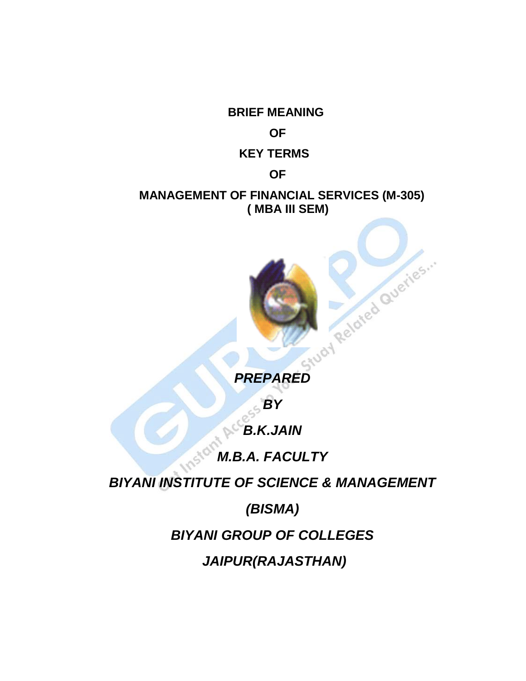**BRIEF MEANING OF KEY TERMS OF MANAGEMENT OF FINANCIAL SERVICES (M-305) ( MBA III SEM)**

**PREPARED** 

*BY*

*B.K.JAIN*

*M.B.A. FACULTY*

*BIYANI INSTITUTE OF SCIENCE & MANAGEMENT*

*(BISMA)*

*BIYANI GROUP OF COLLEGES*

*JAIPUR(RAJASTHAN)*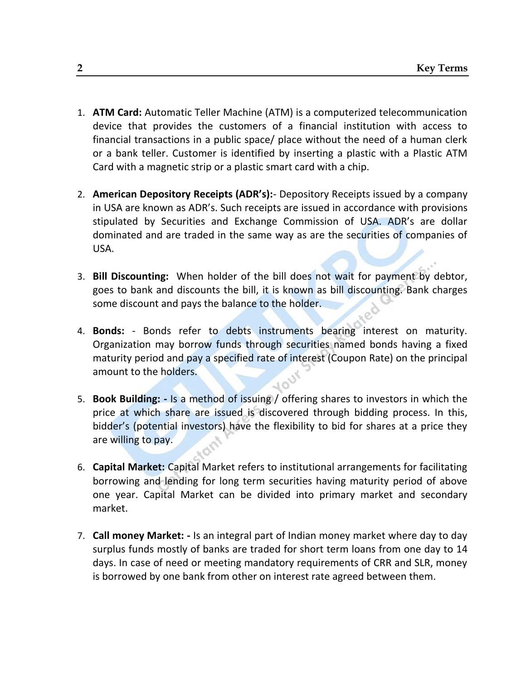- 1. **ATM Card:** Automatic Teller Machine (ATM) is a computerized telecommunication device that provides the customers of a financial institution with access to financial transactions in a public space/ place without the need of a human clerk or a bank teller. Customer is identified by inserting a plastic with a Plastic ATM Card with a magnetic strip or a plastic smart card with a chip.
- 2. **American Depository Receipts (ADR's):** Depository Receipts issued by a company in USA are known as ADR's. Such receipts are issued in accordance with provisions stipulated by Securities and Exchange Commission of USA. ADR's are dollar dominated and are traded in the same way as are the securities of companies of USA.
- 3. **Bill Discounting:** When holder of the bill does not wait for payment by debtor, goes to bank and discounts the bill, it is known as bill discounting. Bank charges some discount and pays the balance to the holder.
- 4. **Bonds:** Bonds refer to debts instruments bearing interest on maturity. Organization may borrow funds through securities named bonds having a fixed maturity period and pay a specified rate of interest (Coupon Rate) on the principal amount to the holders.
- 5. **Book Building: -** Is a method of issuing / offering shares to investors in which the price at which share are issued is discovered through bidding process. In this, bidder's (potential investors) have the flexibility to bid for shares at a price they are willing to pay.
- 6. **Capital Market:** Capital Market refers to institutional arrangements for facilitating borrowing and lending for long term securities having maturity period of above one year. Capital Market can be divided into primary market and secondary market.
- 7. **Call money Market: -** Is an integral part of Indian money market where day to day surplus funds mostly of banks are traded for short term loans from one day to 14 days. In case of need or meeting mandatory requirements of CRR and SLR, money is borrowed by one bank from other on interest rate agreed between them.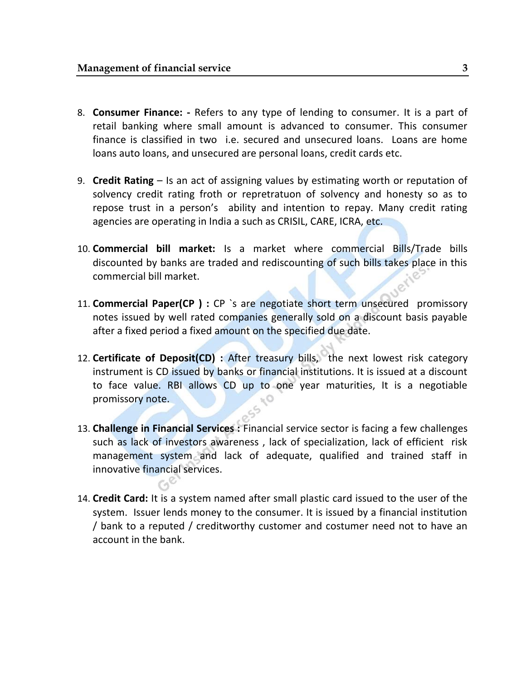- 8. **Consumer Finance: -** Refers to any type of lending to consumer. It is a part of retail banking where small amount is advanced to consumer. This consumer finance is classified in two i.e. secured and unsecured loans. Loans are home loans auto loans, and unsecured are personal loans, credit cards etc.
- 9. **Credit Rating** Is an act of assigning values by estimating worth or reputation of solvency credit rating froth or repretratuon of solvency and honesty so as to repose trust in a person's ability and intention to repay. Many credit rating agencies are operating in India a such as CRISIL, CARE, ICRA, etc.
- 10. **Commercial bill market:** Is a market where commercial Bills/Trade bills discounted by banks are traded and rediscounting of such bills takes place in this commercial bill market.
- 11. **Commercial Paper(CP ) :** CP `s are negotiate short term unsecured promissory notes issued by well rated companies generally sold on a discount basis payable after a fixed period a fixed amount on the specified due date.
- 12. **Certificate of Deposit(CD) :** After treasury bills, the next lowest risk category instrument is CD issued by banks or financial institutions. It is issued at a discount to face value. RBI allows CD up to one year maturities, It is a negotiable promissory note.
- 13. **Challenge in Financial Services :** Financial service sector is facing a few challenges such as lack of investors awareness , lack of specialization, lack of efficient risk management system and lack of adequate, qualified and trained staff in innovative financial services.
- 14. **Credit Card:** It is a system named after small plastic card issued to the user of the system. Issuer lends money to the consumer. It is issued by a financial institution / bank to a reputed / creditworthy customer and costumer need not to have an account in the bank.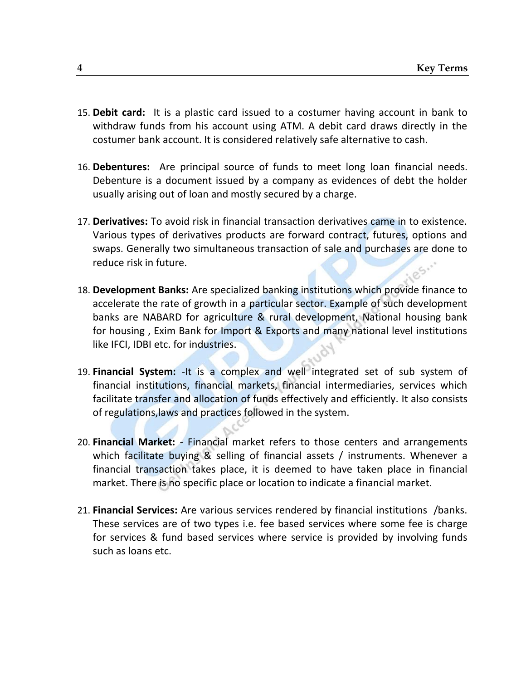- 15. **Debit card:** It is a plastic card issued to a costumer having account in bank to withdraw funds from his account using ATM. A debit card draws directly in the costumer bank account. It is considered relatively safe alternative to cash.
- 16. **Debentures:** Are principal source of funds to meet long loan financial needs. Debenture is a document issued by a company as evidences of debt the holder usually arising out of loan and mostly secured by a charge.
- 17. **Derivatives:** To avoid risk in financial transaction derivatives came in to existence. Various types of derivatives products are forward contract, futures, options and swaps. Generally two simultaneous transaction of sale and purchases are done to reduce risk in future.
- 18. **Development Banks:** Are specialized banking institutions which provide finance to accelerate the rate of growth in a particular sector. Example of such development banks are NABARD for agriculture & rural development, National housing bank for housing , Exim Bank for Import & Exports and many national level institutions like IFCI, IDBI etc. for industries.
- 19. **Financial System:** -It is a complex and well integrated set of sub system of financial institutions, financial markets, financial intermediaries, services which facilitate transfer and allocation of funds effectively and efficiently. It also consists of regulations,laws and practices followed in the system.
- 20. **Financial Market:** Financial market refers to those centers and arrangements which facilitate buying & selling of financial assets / instruments. Whenever a financial transaction takes place, it is deemed to have taken place in financial market. There is no specific place or location to indicate a financial market.
- 21. **Financial Services:** Are various services rendered by financial institutions /banks. These services are of two types i.e. fee based services where some fee is charge for services & fund based services where service is provided by involving funds such as loans etc.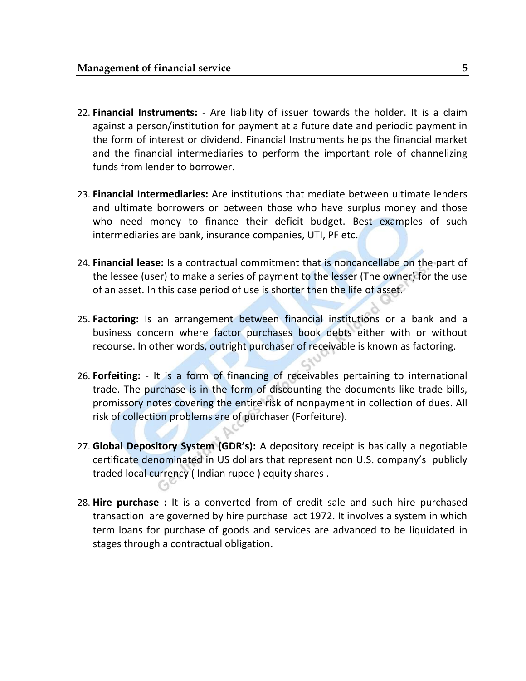- 22. **Financial Instruments:** Are liability of issuer towards the holder. It is a claim against a person/institution for payment at a future date and periodic payment in the form of interest or dividend. Financial Instruments helps the financial market and the financial intermediaries to perform the important role of channelizing funds from lender to borrower.
- 23. **Financial Intermediaries:** Are institutions that mediate between ultimate lenders and ultimate borrowers or between those who have surplus money and those who need money to finance their deficit budget. Best examples of such intermediaries are bank, insurance companies, UTI, PF etc.
- 24. **Financial lease:** Is a contractual commitment that is noncancellabe on the part of the lessee (user) to make a series of payment to the lesser (The owner) for the use of an asset. In this case period of use is shorter then the life of asset.
- 25. **Factoring:** Is an arrangement between financial institutions or a bank and a business concern where factor purchases book debts either with or without recourse. In other words, outright purchaser of receivable is known as factoring.
- 26. **Forfeiting:** It is a form of financing of receivables pertaining to international trade. The purchase is in the form of discounting the documents like trade bills, promissory notes covering the entire risk of nonpayment in collection of dues. All risk of collection problems are of purchaser (Forfeiture).
- 27. **Global Depository System (GDR's):** A depository receipt is basically a negotiable certificate denominated in US dollars that represent non U.S. company's publicly traded local currency ( Indian rupee ) equity shares .
- 28. **Hire purchase :** It is a converted from of credit sale and such hire purchased transaction are governed by hire purchase act 1972. It involves a system in which term loans for purchase of goods and services are advanced to be liquidated in stages through a contractual obligation.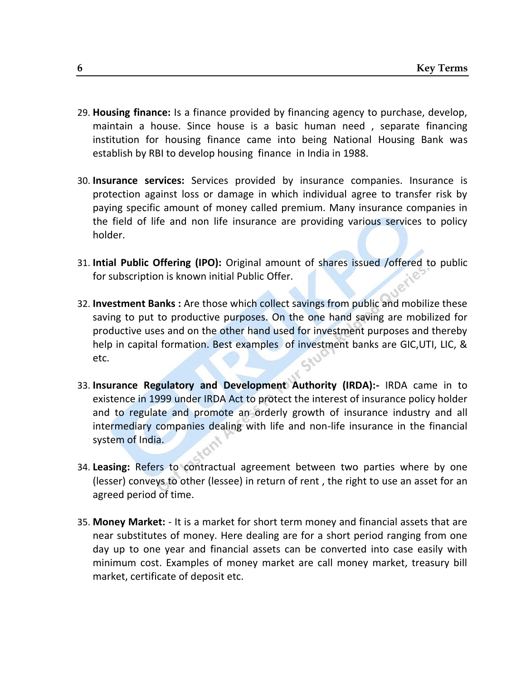- 29. **Housing finance:** Is a finance provided by financing agency to purchase, develop, maintain a house. Since house is a basic human need , separate financing institution for housing finance came into being National Housing Bank was establish by RBI to develop housing finance in India in 1988.
- 30. **Insurance services:** Services provided by insurance companies. Insurance is protection against loss or damage in which individual agree to transfer risk by paying specific amount of money called premium. Many insurance companies in the field of life and non life insurance are providing various services to policy holder.
- 31. **Intial Public Offering (IPO):** Original amount of shares issued /offered to public for subscription is known initial Public Offer.
- 32. **Investment Banks :** Are those which collect savings from public and mobilize these saving to put to productive purposes. On the one hand saving are mobilized for productive uses and on the other hand used for investment purposes and thereby help in capital formation. Best examples of investment banks are GIC,UTI, LIC, & etc.
- 33. **Insurance Regulatory and Development Authority (IRDA):-** IRDA came in to existence in 1999 under IRDA Act to protect the interest of insurance policy holder and to regulate and promote an orderly growth of insurance industry and all intermediary companies dealing with life and non-life insurance in the financial system of India.
- 34. **Leasing:** Refers to contractual agreement between two parties where by one (lesser) conveys to other (lessee) in return of rent , the right to use an asset for an agreed period of time.
- 35. **Money Market:** It is a market for short term money and financial assets that are near substitutes of money. Here dealing are for a short period ranging from one day up to one year and financial assets can be converted into case easily with minimum cost. Examples of money market are call money market, treasury bill market, certificate of deposit etc.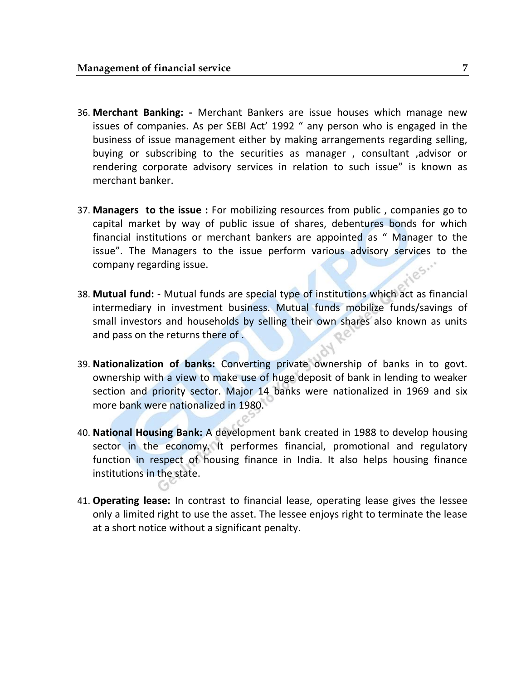- 36. **Merchant Banking: -** Merchant Bankers are issue houses which manage new issues of companies. As per SEBI Act' 1992 " any person who is engaged in the business of issue management either by making arrangements regarding selling, buying or subscribing to the securities as manager , consultant ,advisor or rendering corporate advisory services in relation to such issue" is known as merchant banker.
- 37. **Managers to the issue :** For mobilizing resources from public , companies go to capital market by way of public issue of shares, debentures bonds for which financial institutions or merchant bankers are appointed as " Manager to the issue". The Managers to the issue perform various advisory services to the company regarding issue.
- 38. **Mutual fund:** Mutual funds are special type of institutions which act as financial intermediary in investment business. Mutual funds mobilize funds/savings of small investors and households by selling their own shares also known as units and pass on the returns there of .
- 39. **Nationalization of banks:** Converting private ownership of banks in to govt. ownership with a view to make use of huge deposit of bank in lending to weaker section and priority sector. Major 14 banks were nationalized in 1969 and six more bank were nationalized in 1980.
- 40. **National Housing Bank:** A development bank created in 1988 to develop housing sector in the economy. It performes financial, promotional and regulatory function in respect of housing finance in India. It also helps housing finance institutions in the state.
- 41. **Operating lease:** In contrast to financial lease, operating lease gives the lessee only a limited right to use the asset. The lessee enjoys right to terminate the lease at a short notice without a significant penalty.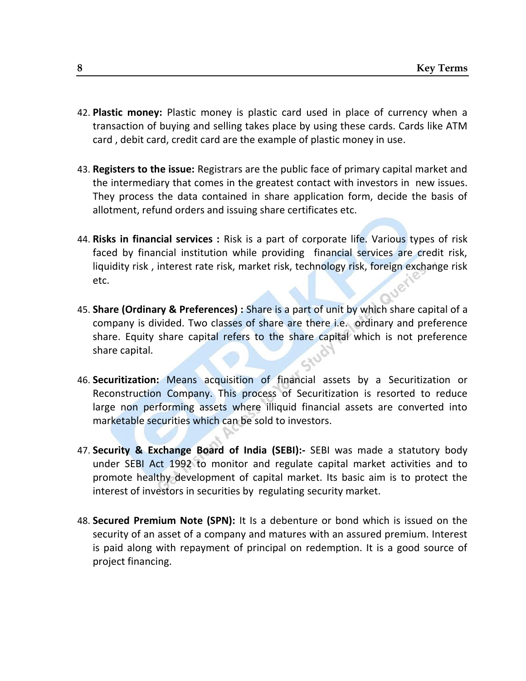- 42. **Plastic money:** Plastic money is plastic card used in place of currency when a transaction of buying and selling takes place by using these cards. Cards like ATM card , debit card, credit card are the example of plastic money in use.
- 43. **Registers to the issue:** Registrars are the public face of primary capital market and the intermediary that comes in the greatest contact with investors in new issues. They process the data contained in share application form, decide the basis of allotment, refund orders and issuing share certificates etc.
- 44. **Risks in financial services :** Risk is a part of corporate life. Various types of risk faced by financial institution while providing financial services are credit risk, liquidity risk , interest rate risk, market risk, technology risk, foreign exchange risk etc.
- 45. **Share (Ordinary & Preferences) :** Share is a part of unit by which share capital of a company is divided. Two classes of share are there i.e. ordinary and preference share. Equity share capital refers to the share capital which is not preference share capital.
- 46. **Securitization:** Means acquisition of financial assets by a Securitization or Reconstruction Company. This process of Securitization is resorted to reduce large non performing assets where illiquid financial assets are converted into marketable securities which can be sold to investors.
- 47. **Security & Exchange Board of India (SEBI):-** SEBI was made a statutory body under SEBI Act 1992 to monitor and regulate capital market activities and to promote healthy development of capital market. Its basic aim is to protect the interest of investors in securities by regulating security market.
- 48. **Secured Premium Note (SPN):** It Is a debenture or bond which is issued on the security of an asset of a company and matures with an assured premium. Interest is paid along with repayment of principal on redemption. It is a good source of project financing.